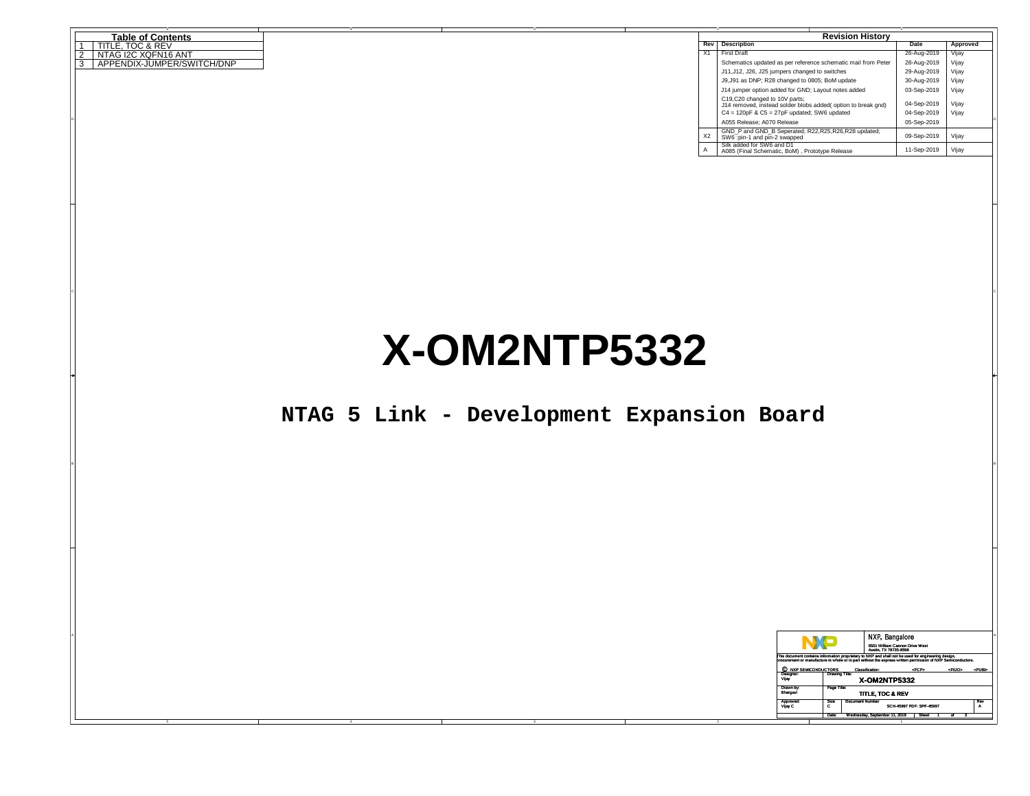| <b>Table of Contents</b>        |  |  | <b>Revision History</b> |                                                                                                |  |             |          |
|---------------------------------|--|--|-------------------------|------------------------------------------------------------------------------------------------|--|-------------|----------|
| TITLE. TOC & REV                |  |  |                         | <b>Rev</b> Description                                                                         |  | Date        | Approved |
| 2<br>INTAGI2C XQFN16 ANT        |  |  | X1                      | <b>First Draft</b>                                                                             |  | 26-Aug-2019 | Vijav    |
| 3<br>APPENDIX-JUMPER/SWITCH/DNP |  |  |                         | Schematics updated as per reference schematic mail from Peter                                  |  | 28-Aug-2019 | Vijay    |
|                                 |  |  |                         | J11, J12, J26, J25 jumpers changed to switches                                                 |  | 29-Aug-2019 | Vijay    |
|                                 |  |  |                         | J9, J91 as DNP; R28 changed to 0805; BoM update                                                |  | 30-Aug-2019 | Vijay    |
|                                 |  |  |                         | J14 jumper option added for GND; Layout notes added                                            |  | 03-Sep-2019 | Vijay    |
|                                 |  |  |                         | C19,C20 changed to 10V parts:<br>J14 removed, instead solder blobs added( option to break gnd) |  | 04-Sep-2019 | Vijay    |
|                                 |  |  |                         | $C4 = 120$ pF & $C5 = 27$ pF updated: SW6 updated                                              |  | 04-Sep-2019 | Vijay    |
|                                 |  |  |                         | A055 Release: A070 Release                                                                     |  | 05-Sep-2019 |          |
|                                 |  |  | X2                      | GND P and GND B Seperated; R22, R25, R26, R28 updated;<br>SW6:pin-1 and pin-2 swapped          |  | 09-Sep-2019 | Vijay    |
|                                 |  |  |                         | Silk added for SW6 and D1<br>A085 (Final Schematic, BoM), Prototype Release                    |  | 11-Sep-2019 | Vijay    |

# **X-OM2NTP5332**

en and the second contract of the second contract of the second contract of the second contract of the second contract of the second contract of the second contract of the second contract of the second contract of the seco

## **NTAG 5 Link - Development Expansion Board**

B<sub>l</sub>

|                       |                          | NXP, Bangalore<br>6501 William Cannon Drive West<br>Austin, TX 78735-8598                                                                                                                                           |                                     |
|-----------------------|--------------------------|---------------------------------------------------------------------------------------------------------------------------------------------------------------------------------------------------------------------|-------------------------------------|
|                       |                          | This document contains information proprietary to NXP and shall not be used for engineering design,<br>procurement or manufacture in whole or in part without the express written permission of NXP Semiconductors. |                                     |
|                       | C NXP SEMICONDUCTORS     | «FCP»<br><b>Classification:</b>                                                                                                                                                                                     | <fiuo> <pubb< th=""></pubb<></fiuo> |
| Designer:<br>Vijay    | <b>Drawing Title:</b>    | <b>X-OM2NTP5332</b>                                                                                                                                                                                                 |                                     |
| Drawn by:<br>Bhargavi | Page Title:              | TITLE, TOC & REV                                                                                                                                                                                                    |                                     |
| Vijay C               | <b>Size</b><br>Approved: | <b>Document Number</b><br>SCH-45997 PDF: SPF-45997                                                                                                                                                                  | Rev                                 |
|                       |                          | Date: Wednesday, September 11, 2019 Sheet                                                                                                                                                                           |                                     |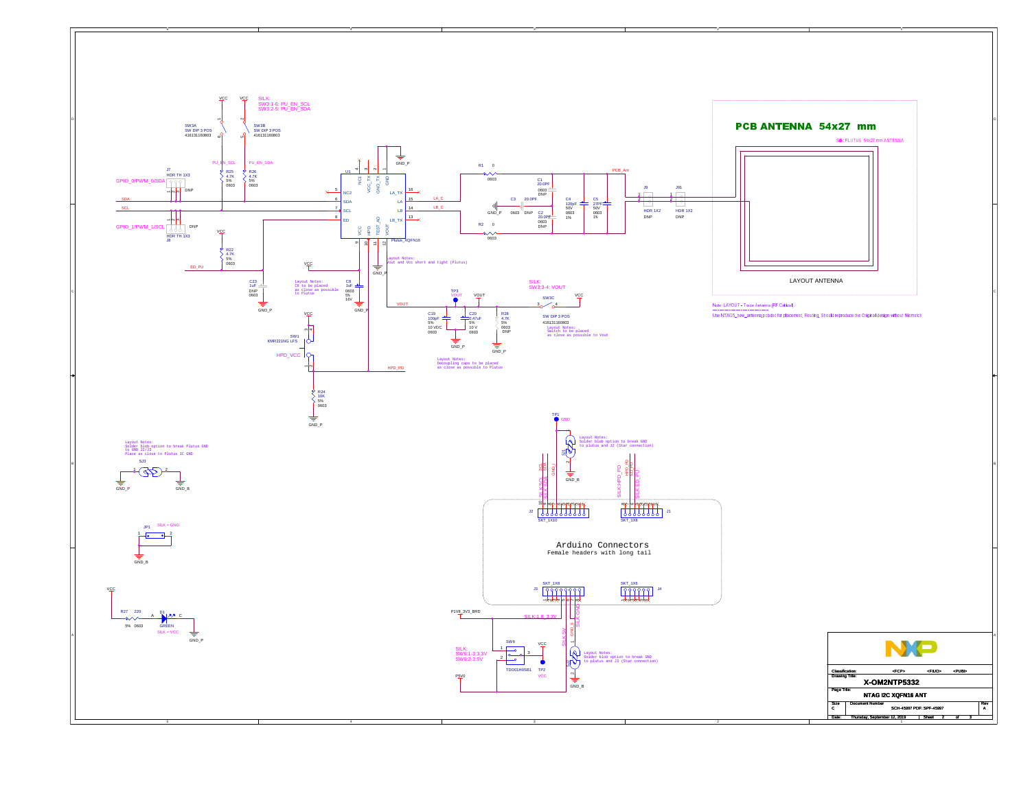